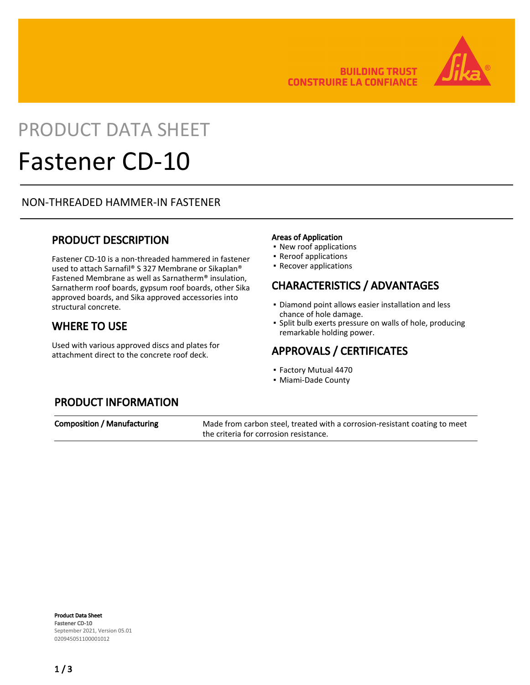

# PRODUCT DATA SHEET

## Fastener CD-10

## NON-THREADED HAMMER-IN FASTENER

## PRODUCT DESCRIPTION

Fastener CD-10 is a non-threaded hammered in fastener used to attach Sarnafil® S 327 Membrane or Sikaplan® Fastened Membrane as well as Sarnatherm® insulation, Sarnatherm roof boards, gypsum roof boards, other Sika approved boards, and Sika approved accessories into structural concrete.

## WHERE TO USE

Used with various approved discs and plates for attachment direct to the concrete roof deck.

#### Areas of Application

- New roof applications
- Reroof applications
- Recover applications

## CHARACTERISTICS / ADVANTAGES

- **Diamond point allows easier installation and less** chance of hole damage.
- **.** Split bulb exerts pressure on walls of hole, producing remarkable holding power.

## APPROVALS / CERTIFICATES

- Factory Mutual 4470
- Miami-Dade County

## PRODUCT INFORMATION

Composition / Manufacturing Made from carbon steel, treated with a corrosion-resistant coating to meet the criteria for corrosion resistance.

Product Data Sheet Fastener CD-10 September 2021, Version 05.01 020945051100001012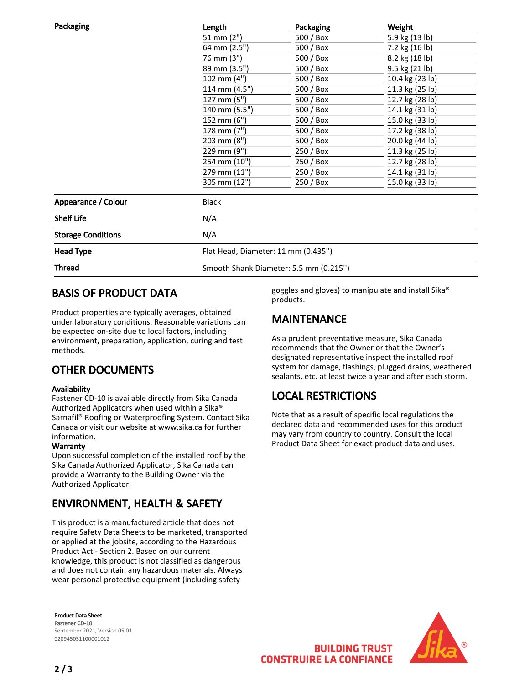| Packaging                 | Length                                 | Packaging  | Weight          |
|---------------------------|----------------------------------------|------------|-----------------|
|                           | 51 mm (2")                             | 500 / Box  | 5.9 kg (13 lb)  |
|                           | 64 mm (2.5")                           | 500 / Box  | 7.2 kg (16 lb)  |
|                           | 76 mm (3")                             | 500 / Box  | 8.2 kg (18 lb)  |
|                           | 89 mm (3.5")                           | 500 / Box  | 9.5 kg (21 lb)  |
|                           | 102 mm (4")                            | 500 / Box  | 10.4 kg (23 lb) |
|                           | 114 mm (4.5")                          | $500/$ Box | 11.3 kg (25 lb) |
|                           | 127 mm (5")                            | 500 / Box  | 12.7 kg (28 lb) |
|                           | 140 mm (5.5")                          | 500 / Box  | 14.1 kg (31 lb) |
|                           | 152 mm (6")                            | 500 / Box  | 15.0 kg (33 lb) |
|                           | 178 mm (7")                            | 500 / Box  | 17.2 kg (38 lb) |
|                           | 203 mm (8")                            | 500 / Box  | 20.0 kg (44 lb) |
|                           | 229 mm (9")                            | $250/$ Box | 11.3 kg (25 lb) |
|                           | 254 mm (10")                           | 250 / Box  | 12.7 kg (28 lb) |
|                           | 279 mm (11")                           | 250 / Box  | 14.1 kg (31 lb) |
|                           | 305 mm (12")                           | 250 / Box  | 15.0 kg (33 lb) |
| Appearance / Colour       | <b>Black</b>                           |            |                 |
| <b>Shelf Life</b>         | N/A                                    |            |                 |
| <b>Storage Conditions</b> | N/A                                    |            |                 |
| <b>Head Type</b>          | Flat Head, Diameter: 11 mm (0.435")    |            |                 |
| <b>Thread</b>             | Smooth Shank Diameter: 5.5 mm (0.215") |            |                 |

## BASIS OF PRODUCT DATA

Product properties are typically averages, obtained under laboratory conditions. Reasonable variations can be expected on-site due to local factors, including environment, preparation, application, curing and test methods.

## OTHER DOCUMENTS

#### Availability

Fastener CD-10 is available directly from Sika Canada Authorized Applicators when used within a Sika® Sarnafil® Roofing or Waterproofing System. Contact Sika Canada or visit our website at www.sika.ca for further information.

#### **Warranty**

Upon successful completion of the installed roof by the Sika Canada Authorized Applicator, Sika Canada can provide a Warranty to the Building Owner via the Authorized Applicator.

## ENVIRONMENT, HEALTH & SAFETY

This product is a manufactured article that does not require Safety Data Sheets to be marketed, transported or applied at the jobsite, according to the Hazardous Product Act - Section 2. Based on our current knowledge, this product is not classified as dangerous and does not contain any hazardous materials. Always wear personal protective equipment (including safety

Product Data Sheet Fastener CD-10 September 2021, Version 05.01 020945051100001012

goggles and gloves) to manipulate and install Sika® products.

## **MAINTENANCE**

As a prudent preventative measure, Sika Canada recommends that the Owner or that the Owner's designated representative inspect the installed roof system for damage, flashings, plugged drains, weathered sealants, etc. at least twice a year and after each storm.

## LOCAL RESTRICTIONS

Note that as a result of specific local regulations the declared data and recommended uses for this product may vary from country to country. Consult the local Product Data Sheet for exact product data and uses.



**BUILDING TRUST CONSTRUIRE LA CONFIANCE**